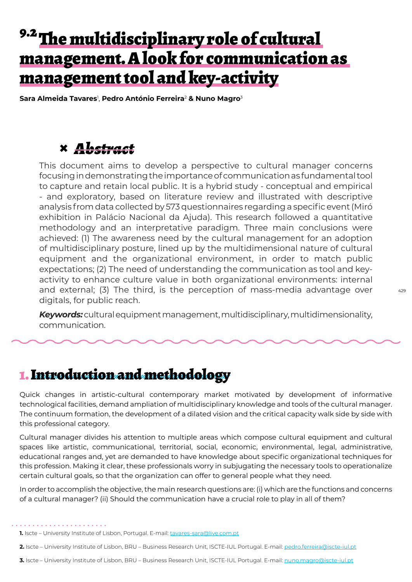# <sup>9.2</sup> The multidisciplinary role of cultural management. A look for communication as management tool and key-activity

**Sara Almeida Tavares**<sup>1</sup> , **Pedro António Ferreira**<sup>2</sup> **& Nuno Magro**<sup>3</sup>

## **×** *Abstract*

This document aims to develop a perspective to cultural manager concerns focusing in demonstrating the importance of communication as fundamental tool to capture and retain local public. It is a hybrid study - conceptual and empirical - and exploratory, based on literature review and illustrated with descriptive analysis from data collected by 573 questionnaires regarding a specific event (Miró exhibition in Palácio Nacional da Ajuda). This research followed a quantitative methodology and an interpretative paradigm. Three main conclusions were achieved: (1) The awareness need by the cultural management for an adoption of multidisciplinary posture, lined up by the multidimensional nature of cultural equipment and the organizational environment, in order to match public expectations; (2) The need of understanding the communication as tool and keyactivity to enhance culture value in both organizational environments: internal and external; (3) The third, is the perception of mass-media advantage over digitals, for public reach.

*Keywords:*cultural equipment management, multidisciplinary, multidimensionality, communication.

### 1. Introduction and methodology

Quick changes in artistic-cultural contemporary market motivated by development of informative technological facilities, demand ampliation of multidisciplinary knowledge and tools of the cultural manager. The continuum formation, the development of a dilated vision and the critical capacity walk side by side with this professional category.

Cultural manager divides his attention to multiple areas which compose cultural equipment and cultural spaces like artistic, communicational, territorial, social, economic, environmental, legal, administrative, educational ranges and, yet are demanded to have knowledge about specific organizational techniques for this profession. Making it clear, these professionals worry in subjugating the necessary tools to operationalize certain cultural goals, so that the organization can offer to general people what they need.

In order to accomplish the objective, the main research questions are: (i) which are the functions and concerns of a cultural manager? (ii) Should the communication have a crucial role to play in all of them?

. . . . . . . . . . . . . . . .

- **2.** Iscte University Institute of Lisbon, BRU Business Research Unit, ISCTE-IUL Portugal. E-mail: pedro.ferreira@iscte-iul.pt
- **3.** Iscte University Institute of Lisbon, BRU Business Research Unit, ISCTE-IUL Portugal. E-mail: nuno.magro@iscte-iul.pt

<sup>1.</sup> Iscte - University Institute of Lisbon, Portugal. E-mail: tavares-sara@live.com.pt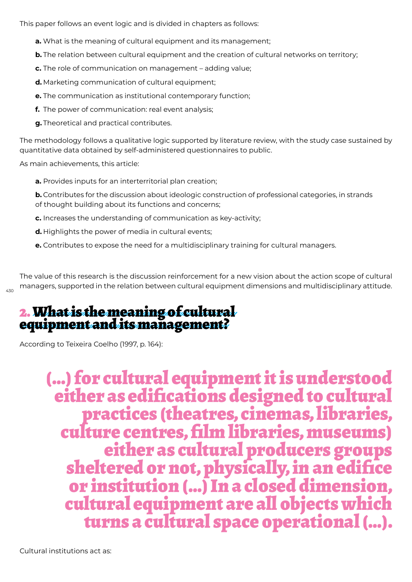This paper follows an event logic and is divided in chapters as follows:

- **a.** What is the meaning of cultural equipment and its management;
- **b.** The relation between cultural equipment and the creation of cultural networks on territory;
- **c.** The role of communication on management adding value;
- **d.** Marketing communication of cultural equipment;
- **e.** The communication as institutional contemporary function;
- **f.** The power of communication: real event analysis;
- **g.** Theoretical and practical contributes.

The methodology follows a qualitative logic supported by literature review, with the study case sustained by quantitative data obtained by self-administered questionnaires to public.

As main achievements, this article:

**a.** Provides inputs for an interterritorial plan creation;

**b.** Contributes for the discussion about ideologic construction of professional categories, in strands of thought building about its functions and concerns;

- **c.** Increases the understanding of communication as key-activity;
- **d.** Highlights the power of media in cultural events;
- **e.** Contributes to expose the need for a multidisciplinary training for cultural managers.

The value of this research is the discussion reinforcement for a new vision about the action scope of cultural managers, supported in the relation between cultural equipment dimensions and multidisciplinary attitude.

# 2. What is the meaning of cultural equipment and its management?

According to Teixeira Coelho (1997, p. 164):

430

 (…) for cultural equipment it is understood either as edifications designed to cultural<br>practices (theatres, cinemas, libraries,<br>culture centres, film libraries, museums)<br>either as cultural producers groups sheltered or not, physically, in an edifice or institution (…) In a closed dimension, turns a cultural space operational (...).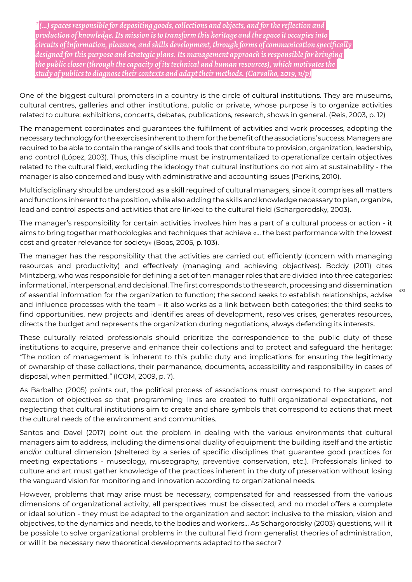*\*(…) spaces responsible for depositing goods, collections and objects, and for the reflection and production of knowledge. Its mission is to transform this heritage and the space it occupies into circuits of information, pleasure, and skills development, through forms of communication specifically designed for this purpose and strategic plans. Its management approach is responsible for bringing the public closer (through the capacity of its technical and human resources), which motivates the study of publics to diagnose their contexts and adapt their methods. (Carvalho, 2019, n/p)*

One of the biggest cultural promoters in a country is the circle of cultural institutions. They are museums, cultural centres, galleries and other institutions, public or private, whose purpose is to organize activities related to culture: exhibitions, concerts, debates, publications, research, shows in general. (Reis, 2003, p. 12)

The management coordinates and guarantees the fulfilment of activities and work processes, adopting the necessary technology for the exercises inherent to them for the benefit of the associations' success. Managers are required to be able to contain the range of skills and tools that contribute to provision, organization, leadership, and control (López, 2003). Thus, this discipline must be instrumentalized to operationalize certain objectives related to the cultural field, excluding the ideology that cultural institutions do not aim at sustainability - the manager is also concerned and busy with administrative and accounting issues (Perkins, 2010).

Multidisciplinary should be understood as a skill required of cultural managers, since it comprises all matters and functions inherent to the position, while also adding the skills and knowledge necessary to plan, organize, lead and control aspects and activities that are linked to the cultural field (Schargorodsky, 2003).

The manager's responsibility for certain activities involves him has a part of a cultural process or action - it aims to bring together methodologies and techniques that achieve «… the best performance with the lowest cost and greater relevance for society» (Boas, 2005, p. 103).

The manager has the responsibility that the activities are carried out efficiently (concern with managing resources and productivity) and effectively (managing and achieving objectives). Boddy (2011) cites Mintzberg, who was responsible for defining a set of ten manager roles that are divided into three categories: informational, interpersonal, and decisional. The first corresponds to the search, processing and dissemination of essential information for the organization to function; the second seeks to establish relationships, advise and influence processes with the team – it also works as a link between both categories; the third seeks to find opportunities, new projects and identifies areas of development, resolves crises, generates resources, directs the budget and represents the organization during negotiations, always defending its interests.

431

These culturally related professionals should prioritize the correspondence to the public duty of these institutions to acquire, preserve and enhance their collections and to protect and safeguard the heritage: *"*The notion of management is inherent to this public duty and implications for ensuring the legitimacy of ownership of these collections, their permanence, documents, accessibility and responsibility in cases of disposal, when permitted*."* (ICOM, 2009, p. 7).

As Barbalho (2005) points out, the political process of associations must correspond to the support and execution of objectives so that programming lines are created to fulfil organizational expectations, not neglecting that cultural institutions aim to create and share symbols that correspond to actions that meet the cultural needs of the environment and communities.

Santos and Davel (2017) point out the problem in dealing with the various environments that cultural managers aim to address, including the dimensional duality of equipment: the building itself and the artistic and/or cultural dimension (sheltered by a series of specific disciplines that guarantee good practices for meeting expectations - museology, museography, preventive conservation, etc.). Professionals linked to culture and art must gather knowledge of the practices inherent in the duty of preservation without losing the vanguard vision for monitoring and innovation according to organizational needs.

However, problems that may arise must be necessary, compensated for and reassessed from the various dimensions of organizational activity, all perspectives must be dissected, and no model offers a complete or ideal solution - they must be adapted to the organization and sector: inclusive to the mission, vision and objectives, to the dynamics and needs, to the bodies and workers… As Schargorodsky (2003) questions, will it be possible to solve organizational problems in the cultural field from generalist theories of administration, or will it be necessary new theoretical developments adapted to the sector?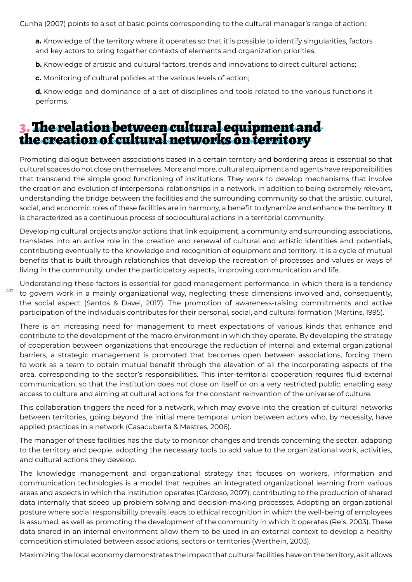Cunha (2007) points to a set of basic points corresponding to the cultural manager's range of action:

**a.** Knowledge of the territory where it operates so that it is possible to identify singularities, factors and key actors to bring together contexts of elements and organization priorities;

**b.** Knowledge of artistic and cultural factors, trends and innovations to direct cultural actions;

**c.** Monitoring of cultural policies at the various levels of action;

**d.** Knowledge and dominance of a set of disciplines and tools related to the various functions it performs.

### 3. The relation between cultural equipment and the creation of cultural networks on territory

Promoting dialogue between associations based in a certain territory and bordering areas is essential so that cultural spaces do not close on themselves. More and more, cultural equipment and agents have responsibilities that transcend the simple good functioning of institutions. They work to develop mechanisms that involve the creation and evolution of interpersonal relationships in a network. In addition to being extremely relevant, understanding the bridge between the facilities and the surrounding community so that the artistic, cultural, social, and economic roles of these facilities are in harmony, a benefit to dynamize and enhance the territory. It is characterized as a continuous process of sociocultural actions in a territorial community.

Developing cultural projects and/or actions that link equipment, a community and surrounding associations, translates into an active role in the creation and renewal of cultural and artistic identities and potentials, contributing eventually to the knowledge and recognition of equipment and territory. It is a cycle of mutual benefits that is built through relationships that develop the recreation of processes and values or ways of living in the community, under the participatory aspects, improving communication and life.

432 Understanding these factors is essential for good management performance, in which there is a tendency to govern work in a mainly organizational way, neglecting these dimensions involved and, consequently, the social aspect (Santos & Davel, 2017). The promotion of awareness-raising commitments and active participation of the individuals contributes for their personal, social, and cultural formation (Martins, 1995).

There is an increasing need for management to meet expectations of various kinds that enhance and contribute to the development of the macro environment in which they operate. By developing the strategy of cooperation between organizations that encourage the reduction of internal and external organizational barriers, a strategic management is promoted that becomes open between associations, forcing them to work as a team to obtain mutual benefit through the elevation of all the incorporating aspects of the area, corresponding to the sector's responsibilities. This inter-territorial cooperation requires fluid external communication, so that the institution does not close on itself or on a very restricted public, enabling easy access to culture and aiming at cultural actions for the constant reinvention of the universe of culture.

This collaboration triggers the need for a network, which may evolve into the creation of cultural networks between territories, going beyond the initial mere temporal union between actors who, by necessity, have applied practices in a network (Casacuberta & Mestres, 2006).

The manager of these facilities has the duty to monitor changes and trends concerning the sector, adapting to the territory and people, adopting the necessary tools to add value to the organizational work, activities, and cultural actions they develop.

The knowledge management and organizational strategy that focuses on workers, information and communication technologies is a model that requires an integrated organizational learning from various areas and aspects in which the institution operates (Cardoso, 2007), contributing to the production of shared data internally that speed up problem solving and decision-making processes. Adopting an organizational posture where social responsibility prevails leads to ethical recognition in which the well-being of employees is assumed, as well as promoting the development of the community in which it operates (Reis, 2003). These data shared in an internal environment allow them to be used in an external context to develop a healthy competition stimulated between associations, sectors or territories (Werthein, 2003).

Maximizing the local economy demonstrates the impact that cultural facilities have on the territory, as it allows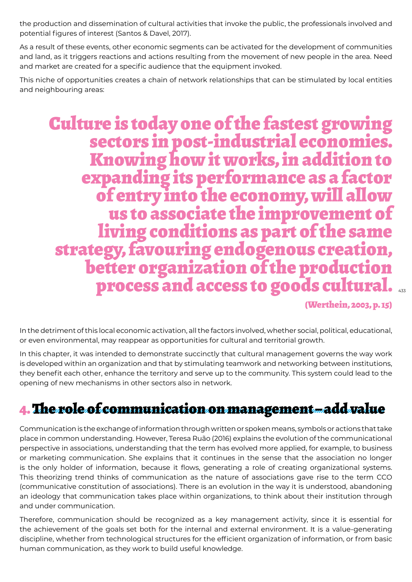the production and dissemination of cultural activities that invoke the public, the professionals involved and potential figures of interest (Santos & Davel, 2017).

As a result of these events, other economic segments can be activated for the development of communities and land, as it triggers reactions and actions resulting from the movement of new people in the area. Need and market are created for a specific audience that the equipment invoked.

This niche of opportunities creates a chain of network relationships that can be stimulated by local entities and neighbouring areas:

# process and access to goods cultural.  $_{\tiny \rm as}$ Culture is today one of the fastest growing sectors in post-industrial economies. Knowing how it works, in addition to expanding its performance as a factor of entry into the economy, will allow us to associate the improvement of<br>living conditions as part of the same strategy, favouring endogenous creation,<br>better organization of the production

(Werthein, 2003, p. 15)

In the detriment of this local economic activation, all the factors involved, whether social, political, educational, or even environmental, may reappear as opportunities for cultural and territorial growth.

In this chapter, it was intended to demonstrate succinctly that cultural management governs the way work is developed within an organization and that by stimulating teamwork and networking between institutions, they benefit each other, enhance the territory and serve up to the community. This system could lead to the opening of new mechanisms in other sectors also in network.

# 4. The role of communication on management – add value

Communication is the exchange of information through written or spoken means, symbols or actions that take place in common understanding. However, Teresa Ruão (2016) explains the evolution of the communicational perspective in associations, understanding that the term has evolved more applied, for example, to business or marketing communication. She explains that it continues in the sense that the association no longer is the only holder of information, because it flows, generating a role of creating organizational systems. This theorizing trend thinks of communication as the nature of associations gave rise to the term CCO (communicative constitution of associations). There is an evolution in the way it is understood, abandoning an ideology that communication takes place within organizations, to think about their institution through and under communication.

Therefore, communication should be recognized as a key management activity, since it is essential for the achievement of the goals set both for the internal and external environment. It is a value-generating discipline, whether from technological structures for the efficient organization of information, or from basic human communication, as they work to build useful knowledge.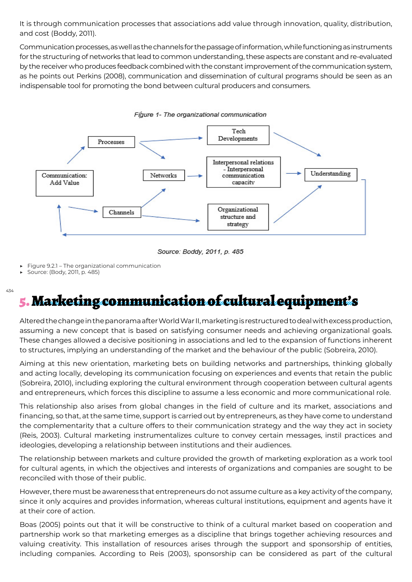It is through communication processes that associations add value through innovation, quality, distribution, and cost (Boddy, 2011).

Communication processes, as well as the channels for the passage of information, while functioning as instruments for the structuring of networks that lead to common understanding, these aspects are constant and re-evaluated by the receiver who produces feedback combined with the constant improvement of the communication system, as he points out Perkins (2008), communication and dissemination of cultural programs should be seen as an indispensable tool for promoting the bond between cultural producers and consumers.



Figure 1- The organizational communication

Source: Boddy, 2011, p. 485

Figure 9.2.1 – The organizational communication

▶ Source: (Body, 2011, p. 485)

#### 434 5. Marketing communication of cultural equipment's

Altered the change in the panorama after World War II, marketing is restructured to deal with excess production, assuming a new concept that is based on satisfying consumer needs and achieving organizational goals. These changes allowed a decisive positioning in associations and led to the expansion of functions inherent to structures, implying an understanding of the market and the behaviour of the public (Sobreira, 2010).

Aiming at this new orientation, marketing bets on building networks and partnerships, thinking globally and acting locally, developing its communication focusing on experiences and events that retain the public (Sobreira, 2010), including exploring the cultural environment through cooperation between cultural agents and entrepreneurs, which forces this discipline to assume a less economic and more communicational role.

This relationship also arises from global changes in the field of culture and its market, associations and financing, so that, at the same time, support is carried out by entrepreneurs, as they have come to understand the complementarity that a culture offers to their communication strategy and the way they act in society (Reis, 2003). Cultural marketing instrumentalizes culture to convey certain messages, instil practices and ideologies, developing a relationship between institutions and their audiences.

The relationship between markets and culture provided the growth of marketing exploration as a work tool for cultural agents, in which the objectives and interests of organizations and companies are sought to be reconciled with those of their public.

However, there must be awareness that entrepreneurs do not assume culture as a key activity of the company, since it only acquires and provides information, whereas cultural institutions, equipment and agents have it at their core of action.

Boas (2005) points out that it will be constructive to think of a cultural market based on cooperation and partnership work so that marketing emerges as a discipline that brings together achieving resources and valuing creativity. This installation of resources arises through the support and sponsorship of entities, including companies. According to Reis (2003), sponsorship can be considered as part of the cultural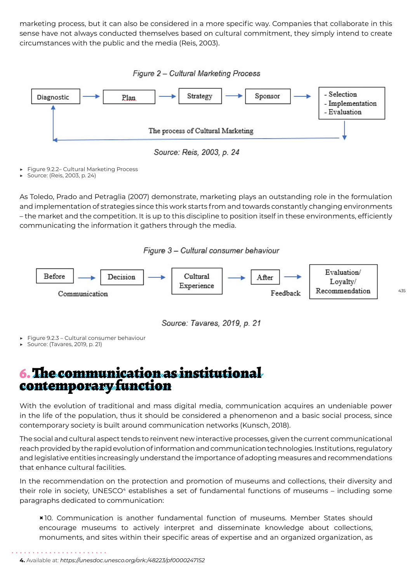marketing process, but it can also be considered in a more specific way. Companies that collaborate in this sense have not always conducted themselves based on cultural commitment, they simply intend to create circumstances with the public and the media (Reis, 2003).





Source: Reis, 2003, p. 24

Figure 9.2.2- Cultural Marketing Process

▶ Source: (Reis, 2003, p. 24)

As Toledo, Prado and Petraglia (2007) demonstrate, marketing plays an outstanding role in the formulation and implementation of strategies since this work starts from and towards constantly changing environments – the market and the competition. It is up to this discipline to position itself in these environments, efficiently communicating the information it gathers through the media.

Figure 3 - Cultural consumer behaviour



Source: Tavares, 2019, p. 21

- Figure 9.2.3 Cultural consumer behaviour
- ▶ Source: (Tavares, 2019, p. 21)

### 6. The communication as institutional contemporary function

With the evolution of traditional and mass digital media, communication acquires an undeniable power in the life of the population, thus it should be considered a phenomenon and a basic social process, since contemporary society is built around communication networks (Kunsch, 2018).

The social and cultural aspect tends to reinvent new interactive processes, given the current communicational reach provided by the rapid evolution of information and communication technologies. Institutions, regulatory and legislative entities increasingly understand the importance of adopting measures and recommendations that enhance cultural facilities.

In the recommendation on the protection and promotion of museums and collections, their diversity and their role in society, UNESCO<sup>4</sup> establishes a set of fundamental functions of museums - including some paragraphs dedicated to communication:

**×** 10. Communication is another fundamental function of museums. Member States should encourage museums to actively interpret and disseminate knowledge about collections, monuments, and sites within their specific areas of expertise and an organized organization, as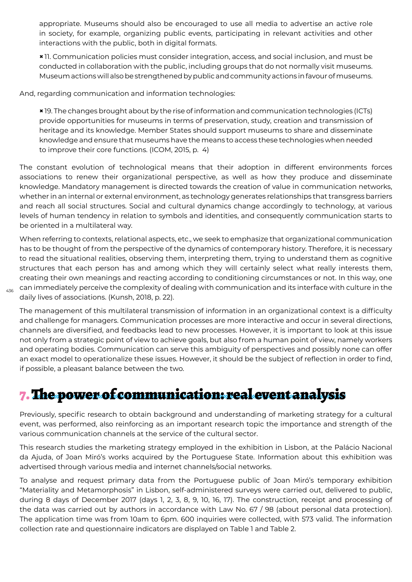appropriate. Museums should also be encouraged to use all media to advertise an active role in society, for example, organizing public events, participating in relevant activities and other interactions with the public, both in digital formats.

**×** 11. Communication policies must consider integration, access, and social inclusion, and must be conducted in collaboration with the public, including groups that do not normally visit museums. Museum actions will also be strengthened by public and community actions in favour of museums.

And, regarding communication and information technologies:

**×** 19. The changes brought about by the rise of information and communication technologies (ICTs) provide opportunities for museums in terms of preservation, study, creation and transmission of heritage and its knowledge. Member States should support museums to share and disseminate knowledge and ensure that museums have the means to access these technologies when needed to improve their core functions. (ICOM, 2015, p. 4)

The constant evolution of technological means that their adoption in different environments forces associations to renew their organizational perspective, as well as how they produce and disseminate knowledge. Mandatory management is directed towards the creation of value in communication networks, whether in an internal or external environment, as technology generates relationships that transgress barriers and reach all social structures. Social and cultural dynamics change accordingly to technology, at various levels of human tendency in relation to symbols and identities, and consequently communication starts to be oriented in a multilateral way.

When referring to contexts, relational aspects, etc., we seek to emphasize that organizational communication has to be thought of from the perspective of the dynamics of contemporary history. Therefore, it is necessary to read the situational realities, observing them, interpreting them, trying to understand them as cognitive structures that each person has and among which they will certainly select what really interests them, creating their own meanings and reacting according to conditioning circumstances or not. In this way, one can immediately perceive the complexity of dealing with communication and its interface with culture in the daily lives of associations. (Kunsh, 2018, p. 22).

The management of this multilateral transmission of information in an organizational context is a difficulty and challenge for managers. Communication processes are more interactive and occur in several directions, channels are diversified, and feedbacks lead to new processes. However, it is important to look at this issue not only from a strategic point of view to achieve goals, but also from a human point of view, namely workers and operating bodies. Communication can serve this ambiguity of perspectives and possibly none can offer an exact model to operationalize these issues. However, it should be the subject of reflection in order to find, if possible, a pleasant balance between the two.

# 7. The power of communication: real event analysis

Previously, specific research to obtain background and understanding of marketing strategy for a cultural event, was performed, also reinforcing as an important research topic the importance and strength of the various communication channels at the service of the cultural sector.

This research studies the marketing strategy employed in the exhibition in Lisbon, at the Palácio Nacional da Ajuda, of Joan Miró's works acquired by the Portuguese State. Information about this exhibition was advertised through various media and internet channels/social networks.

To analyse and request primary data from the Portuguese public of Joan Miró's temporary exhibition "Materiality and Metamorphosis" in Lisbon, self-administered surveys were carried out, delivered to public, during 8 days of December 2017 (days 1, 2, 3, 8, 9, 10, 16, 17). The construction, receipt and processing of the data was carried out by authors in accordance with Law No. 67 / 98 (about personal data protection). The application time was from 10am to 6pm. 600 inquiries were collected, with 573 valid. The information collection rate and questionnaire indicators are displayed on Table 1 and Table 2.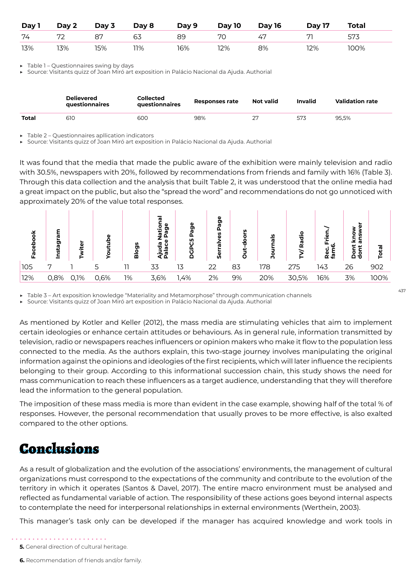| Day 1 | Day 2   | Day 3 | Day 8 | Day 9 | Day 10 | <b>Day 16</b> | <b>Day 17</b> | <b>Total</b> |
|-------|---------|-------|-------|-------|--------|---------------|---------------|--------------|
| 74    | 72<br>∠ | 87    | 63    | 89    | 70     | 47            |               | - 573        |
| 13%   | 13%     | 15%   | 11%   | 16%   | 12%    | 8%            | 12%           | 100%         |

Table 1 – Questionnaires swing by days

Source: Visitants quizz of Joan Miró art exposition in Palácio Nacional da Ajuda. Authorial

|       | <b>Delievered</b><br><b>auestionnaires</b> | <b>Collected</b><br><b>auestionnaires</b> | Responses rate | <b>Not valid</b> | <b>Invalid</b> | <b>Validation rate</b> |
|-------|--------------------------------------------|-------------------------------------------|----------------|------------------|----------------|------------------------|
| Total | 610                                        | 600                                       | 98%            | חר               | 573            | 95.5%                  |

Table 2 – Questionnaires apllication indicators

Source: Visitants quizz of Joan Miró art exposition in Palácio Nacional da Ajuda. Authorial

It was found that the media that made the public aware of the exhibition were mainly television and radio with 30.5%, newspapers with 20%, followed by recommendations from friends and family with 16% (Table 3). Through this data collection and the analysis that built Table 2, it was understood that the online media had a great impact on the public, but also the "spread the word" and recommendations do not go unnoticed with approximately 20% of the value total responses.



437

▶ Table 3 – Art exposition knowledge "Materiality and Metamorphose" through communication channels

Source: Visitants quizz of Joan Miró art exposition in Palácio Nacional da Ajuda. Authorial

As mentioned by Kotler and Keller (2012), the mass media are stimulating vehicles that aim to implement certain ideologies or enhance certain attitudes or behaviours. As in general rule, information transmitted by television, radio or newspapers reaches influencers or opinion makers who make it flow to the population less connected to the media. As the authors explain, this two-stage journey involves manipulating the original information against the opinions and ideologies of the first recipients, which will later influence the recipients belonging to their group. According to this informational succession chain, this study shows the need for mass communication to reach these influencers as a target audience, understanding that they will therefore lead the information to the general population.

The imposition of these mass media is more than evident in the case example, showing half of the total % of responses. However, the personal recommendation that usually proves to be more effective, is also exalted compared to the other options.

## Conclusions

As a result of globalization and the evolution of the associations' environments, the management of cultural organizations must correspond to the expectations of the community and contribute to the evolution of the territory in which it operates (Santos & Davel, 2017). The entire macro environment must be analysed and reflected as fundamental variable of action. The responsibility of these actions goes beyond internal aspects to contemplate the need for interpersonal relationships in external environments (Werthein, 2003).

This manager's task only can be developed if the manager has acquired knowledge and work tools in

**6.** Recommendation of friends and/or family.

**<sup>5.</sup>** General direction of cultural heritage.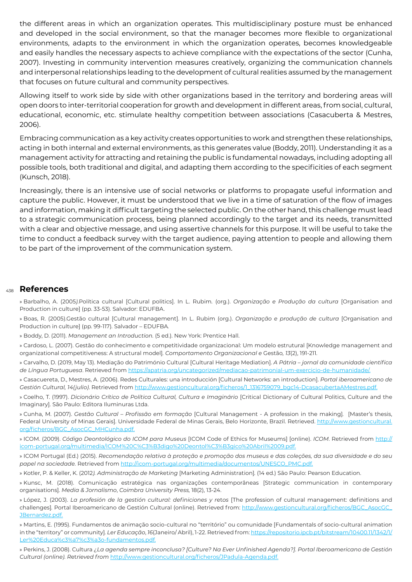the different areas in which an organization operates. This multidisciplinary posture must be enhanced and developed in the social environment, so that the manager becomes more flexible to organizational environments, adapts to the environment in which the organization operates, becomes knowledgeable and easily handles the necessary aspects to achieve compliance with the expectations of the sector (Cunha, 2007). Investing in community intervention measures creatively, organizing the communication channels and interpersonal relationships leading to the development of cultural realities assumed by the management that focuses on future cultural and community perspectives.

Allowing itself to work side by side with other organizations based in the territory and bordering areas will open doors to inter-territorial cooperation for growth and development in different areas, from social, cultural, educational, economic, etc. stimulate healthy competition between associations (Casacuberta & Mestres, 2006).

Embracing communication as a key activity creates opportunities to work and strengthen these relationships, acting in both internal and external environments, as this generates value (Boddy, 2011). Understanding it as a management activity for attracting and retaining the public is fundamental nowadays, including adopting all possible tools, both traditional and digital, and adapting them according to the specificities of each segment (Kunsch, 2018).

Increasingly, there is an intensive use of social networks or platforms to propagate useful information and capture the public. However, it must be understood that we live in a time of saturation of the flow of images and information, making it difficult targeting the selected public. On the other hand, this challenge must lead to a strategic communication process, being planned accordingly to the target and its needs, transmitted with a clear and objective message, and using assertive channels for this purpose. It will be useful to take the time to conduct a feedback survey with the target audience, paying attention to people and allowing them to be part of the improvement of the communication system.

#### 438 **References**

» Barbalho, A. (2005*).*Política cultural [Cultural politics]. In L. Rubim*.* (org.). *Organização e Produção da cultura* [Organisation and Production in culture] (pp. 33-53). Salvador: EDUFBA.

» Boas, R. (2005).Gestão cultural [Cultural management]. In L. Rubim (org.). *Organização e produção de cultura* [Organisation and Production in culture] (pp. 99-117)*.* Salvador – EDUFBA*.*

» Boddy, D. (2011). *Management an Introduction.* (5 ed.). New York: Prentice Hall.

» Cardoso, L. (2007). Gestão do conhecimento e competitividade organizacional: Um modelo estrutural [Knowledge management and organizational competitiveness: A structural model]*. Comportamento Organizacional e* Gestão*, 13*(2), 191-211*.*

» Carvalho, D. (2019, May 13). Mediação do Património Cultural [Cultural Heritage Mediation]. *A Pátria – jornal da comunidade científica de Língua Portuguesa*. Retrieved from https://apatria.org/uncategorized/mediacao-patrimonial-um-exercicio-de-humanidade/.

» Casacuereta, D., Mestres, A. (2006). Redes Culturales: una introducción [Cultural Networks: an introduction]. *Portal iberoamericano de Gestión Cultural, 14(julio)*. Retrieved from http://www.gestioncultural.org/ficheros/1\_1316759079\_bgc14-DcasacubertaAMestres.pdf.

» Coelho, T. (1997). Dicionário Crítico de Política Cultural, Cultura e Imaginário [Critical Dictionary of Cultural Politics, Culture and the Imaginary]*.* São Paulo: Editora Iluminuras Ltda.

» Cunha, M. (2007). *Gestão Cultural – Profissão em formação* [Cultural Management - A profession in the making]*.* [Master's thesis, Federal University of Minas Gerais]. Universidade Federal de Minas Gerais, Belo Horizonte, Brazil. Retrieved. http://www.gestioncultural. org/ficheros/BGC\_AsocGC\_MHCunha.pdf.

» ICOM. (2009). *Código Deontológico do ICOM para Museus* [ICOM Code of Ethics for Museums] [online). *ICOM*. Retrieved from http:// icom-portugal.org/multimedia/ICOM%20C%C3%B3digo%20Deontol%C3%B3gico%20Abril%2009.pdf.

» ICOM Portugal (Ed.) (2015). *Recomendação relativa à proteção e promoção dos museus e das coleções, da sua diversidade e do seu papel na sociedade.* Retrieved from http://icom-portugal.org/multimedia/documentos/UNESCO\_PMC.pdf.

» Kotler, P. & Keller, K. (2012*). Administração de Mark*et*ing* [Marketing Administration]*.* (14 ed.) São Paulo: Pearson Education.

» Kunsc, M. (2018). Comunicação estratégica nas organizações contemporâneas [Strategic communication in contemporary organisations]*. Media & Jornalismo*, *Coimbra University Press,* 18(2), 13-24.

» López, J. (2003). *La profesión de la gestión cultural: definiciones y r*et*os* [The profession of cultural management: definitions and challenges]*.* Portal Iberoamericano de Gestión Cultural (online). Retrieved from: http://www.gestioncultural.org/ficheros/BGC\_AsocGC\_ JBernardez.pdf.

» Martins, E. (1995). Fundamentos de animação socio-cultural no "território" ou comunidade [Fundamentals of socio-cultural animation in the "territory" or community]*. Ler Educação*, *16*(Janeiro/ Abril), 1-22. Retrieved from: https://repositorio.ipcb.pt/bitstream/10400.11/1342/1/ Ler%20Educa%c3%a7%c3%a3o-fundamentos.pdf.

» Perkins, J. (2008). Cultura *¿La agenda sempre inconclusa? [Culture? Na Ever Unfinished Agenda?]. Portal Iberoamericano de Gestión Cultural (online). R*et*rieved from* http://www.gestioncultural.org/ficheros/JPadula-Agenda.pdf.